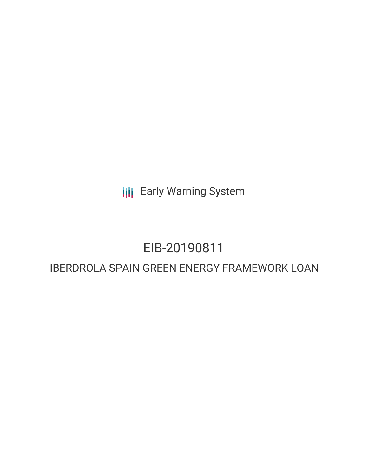**III** Early Warning System

## EIB-20190811

## IBERDROLA SPAIN GREEN ENERGY FRAMEWORK LOAN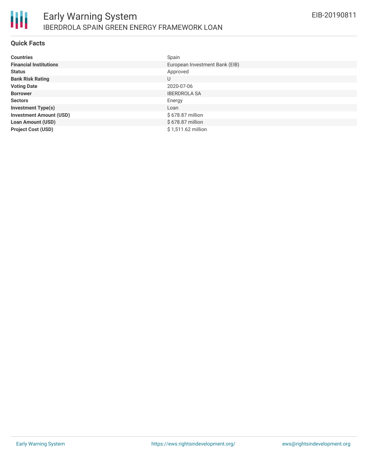

### **Quick Facts**

| <b>Countries</b>               | Spain                          |
|--------------------------------|--------------------------------|
| <b>Financial Institutions</b>  | European Investment Bank (EIB) |
| <b>Status</b>                  | Approved                       |
| <b>Bank Risk Rating</b>        | U                              |
| <b>Voting Date</b>             | 2020-07-06                     |
| <b>Borrower</b>                | <b>IBERDROLA SA</b>            |
| <b>Sectors</b>                 | Energy                         |
| <b>Investment Type(s)</b>      | Loan                           |
| <b>Investment Amount (USD)</b> | \$678.87 million               |
| <b>Loan Amount (USD)</b>       | \$678.87 million               |
| <b>Project Cost (USD)</b>      | \$1,511.62 million             |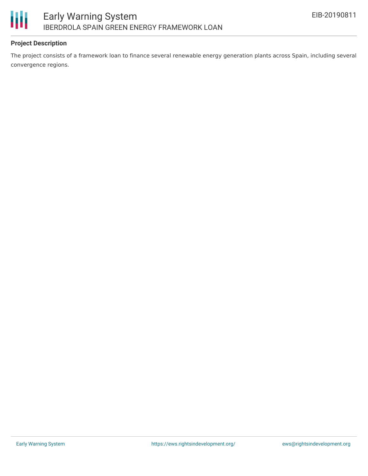

## **Project Description**

The project consists of a framework loan to finance several renewable energy generation plants across Spain, including several convergence regions.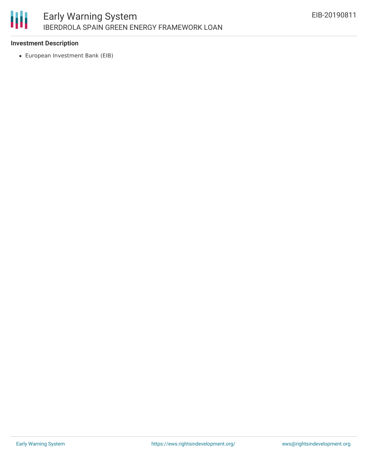# 朋

## **Investment Description**

European Investment Bank (EIB)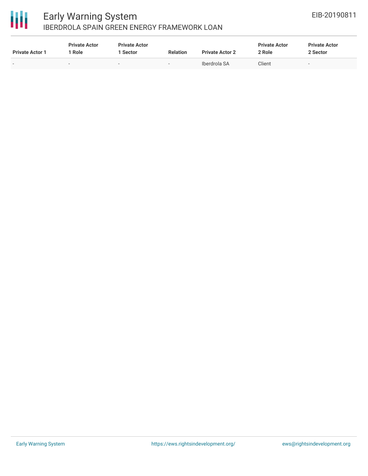

## 冊

## Early Warning System IBERDROLA SPAIN GREEN ENERGY FRAMEWORK LOAN

| <b>Private Actor 1</b>   | <b>Private Actor</b><br>Role | <b>Private Actor</b><br>Sector | <b>Relation</b>          | <b>Private Actor 2</b> | <b>Private Actor</b><br>2 Role | <b>Private Actor</b><br>2 Sector |  |
|--------------------------|------------------------------|--------------------------------|--------------------------|------------------------|--------------------------------|----------------------------------|--|
| $\overline{\phantom{0}}$ | $\overline{\phantom{a}}$     | -                              | $\overline{\phantom{a}}$ | Iberdrola SA           | Client                         |                                  |  |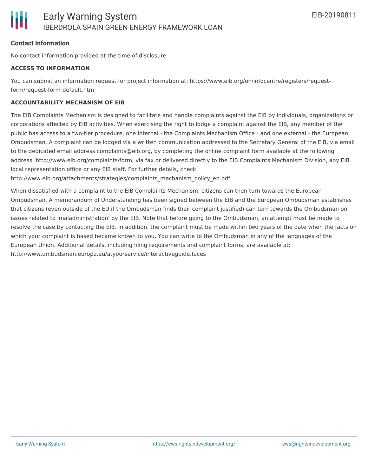## **Contact Information**

No contact information provided at the time of disclosure.

#### **ACCESS TO INFORMATION**

You can submit an information request for project information at: https://www.eib.org/en/infocentre/registers/requestform/request-form-default.htm

### **ACCOUNTABILITY MECHANISM OF EIB**

The EIB Complaints Mechanism is designed to facilitate and handle complaints against the EIB by individuals, organizations or corporations affected by EIB activities. When exercising the right to lodge a complaint against the EIB, any member of the public has access to a two-tier procedure, one internal - the Complaints Mechanism Office - and one external - the European Ombudsman. A complaint can be lodged via a written communication addressed to the Secretary General of the EIB, via email to the dedicated email address complaints@eib.org, by completing the online complaint form available at the following address: http://www.eib.org/complaints/form, via fax or delivered directly to the EIB Complaints Mechanism Division, any EIB local representation office or any EIB staff. For further details, check:

http://www.eib.org/attachments/strategies/complaints\_mechanism\_policy\_en.pdf

When dissatisfied with a complaint to the EIB Complaints Mechanism, citizens can then turn towards the European Ombudsman. A memorandum of Understanding has been signed between the EIB and the European Ombudsman establishes that citizens (even outside of the EU if the Ombudsman finds their complaint justified) can turn towards the Ombudsman on issues related to 'maladministration' by the EIB. Note that before going to the Ombudsman, an attempt must be made to resolve the case by contacting the EIB. In addition, the complaint must be made within two years of the date when the facts on which your complaint is based became known to you. You can write to the Ombudsman in any of the languages of the European Union. Additional details, including filing requirements and complaint forms, are available at: http://www.ombudsman.europa.eu/atyourservice/interactiveguide.faces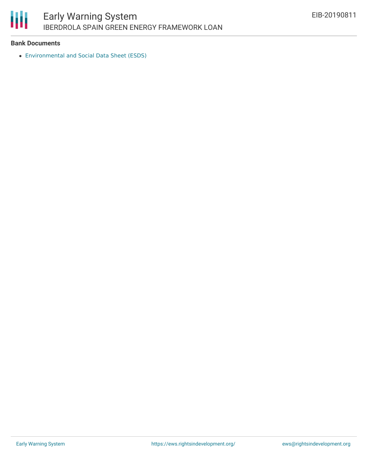

### **Bank Documents**

[Environmental](https://www.eib.org/attachments/registers/130277028.pdf) and Social Data Sheet (ESDS)